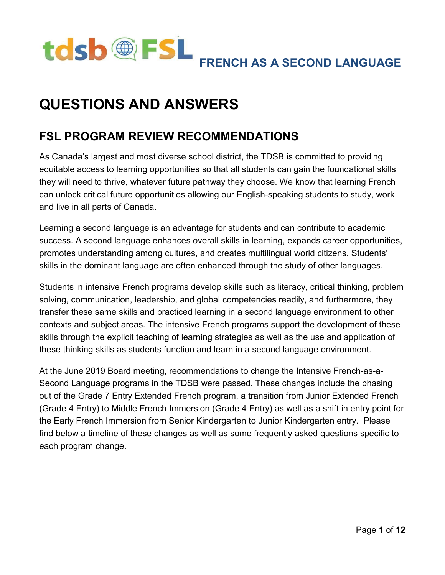

# **QUESTIONS AND ANSWERS**

### **FSL PROGRAM REVIEW RECOMMENDATIONS**

 As Canada's largest and most diverse school district, the TDSB is committed to providing equitable access to learning opportunities so that all students can gain the foundational skills they will need to thrive, whatever future pathway they choose. We know that learning French can unlock critical future opportunities allowing our English-speaking students to study, work and live in all parts of Canada.

 Learning a second language is an advantage for students and can contribute to academic success. A second language enhances overall skills in learning, expands career opportunities, promotes understanding among cultures, and creates multilingual world citizens. Students' skills in the dominant language are often enhanced through the study of other languages.

 Students in intensive French programs develop skills such as literacy, critical thinking, problem solving, communication, leadership, and global competencies readily, and furthermore, they transfer these same skills and practiced learning in a second language environment to other contexts and subject areas. The intensive French programs support the development of these skills through the explicit teaching of learning strategies as well as the use and application of these thinking skills as students function and learn in a second language environment.

 At the June 2019 Board meeting, recommendations to change the Intensive French-as-a- Second Language programs in the TDSB were passed. These changes include the phasing out of the Grade 7 Entry Extended French program, a transition from Junior Extended French (Grade 4 Entry) to Middle French Immersion (Grade 4 Entry) as well as a shift in entry point for the Early French Immersion from Senior Kindergarten to Junior Kindergarten entry. Please find below a timeline of these changes as well as some frequently asked questions specific to each program change.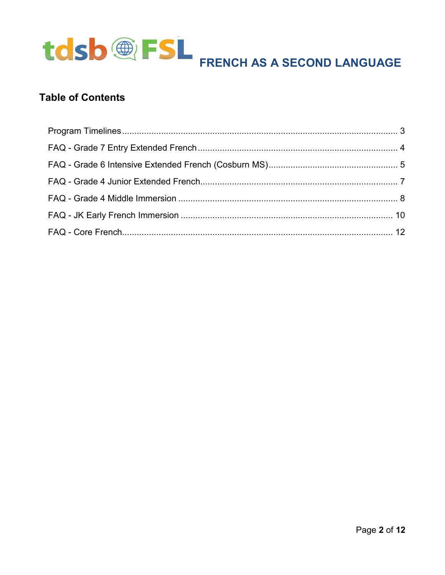

### **Table of Contents**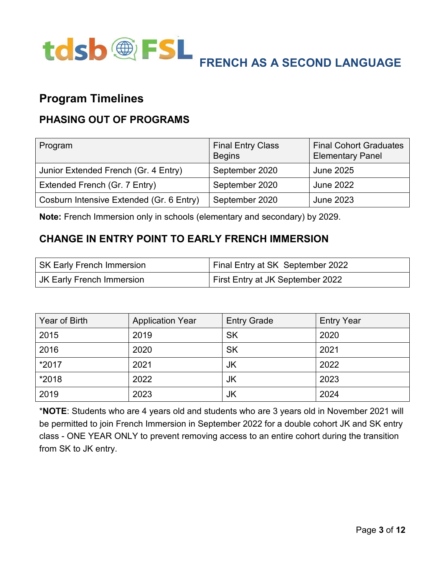

### <span id="page-2-0"></span>**Program Timelines**

### **PHASING OUT OF PROGRAMS**

| Program                                  | <b>Final Entry Class</b><br><b>Begins</b> | <b>Final Cohort Graduates</b><br><b>Elementary Panel</b> |
|------------------------------------------|-------------------------------------------|----------------------------------------------------------|
| Junior Extended French (Gr. 4 Entry)     | September 2020                            | <b>June 2025</b>                                         |
| Extended French (Gr. 7 Entry)            | September 2020                            | <b>June 2022</b>                                         |
| Cosburn Intensive Extended (Gr. 6 Entry) | September 2020                            | <b>June 2023</b>                                         |

**Note:** French Immersion only in schools (elementary and secondary) by 2029.

### **CHANGE IN ENTRY POINT TO EARLY FRENCH IMMERSION**

| SK Early French Immersion | Final Entry at SK September 2022        |
|---------------------------|-----------------------------------------|
| JK Early French Immersion | <b>First Entry at JK September 2022</b> |

| Year of Birth | <b>Application Year</b> | <b>Entry Grade</b> | <b>Entry Year</b> |
|---------------|-------------------------|--------------------|-------------------|
| 2015          | 2019                    | <b>SK</b>          | 2020              |
| 2016          | 2020                    | <b>SK</b>          | 2021              |
| *2017         | 2021                    | JK                 | 2022              |
| *2018         | 2022                    | JK                 | 2023              |
| 2019          | 2023                    | JK                 | 2024              |

 \***NOTE**: Students who are 4 years old and students who are 3 years old in November 2021 will be permitted to join French Immersion in September 2022 for a double cohort JK and SK entry class - ONE YEAR ONLY to prevent removing access to an entire cohort during the transition from SK to JK entry.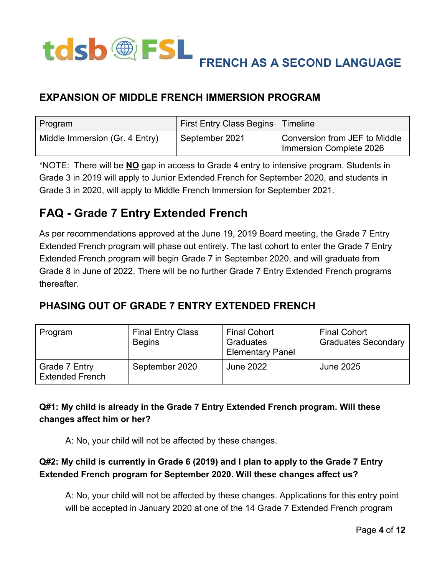

### **EXPANSION OF MIDDLE FRENCH IMMERSION PROGRAM**

| Program                        | First Entry Class Begins | Timeline                                                 |
|--------------------------------|--------------------------|----------------------------------------------------------|
| Middle Immersion (Gr. 4 Entry) | September 2021           | Conversion from JEF to Middle<br>Immersion Complete 2026 |

 \*NOTE: There will be **NO** gap in access to Grade 4 entry to intensive program. Students in Grade 3 in 2019 will apply to Junior Extended French for September 2020, and students in Grade 3 in 2020, will apply to Middle French Immersion for September 2021.

# <span id="page-3-0"></span> **FAQ - Grade 7 Entry Extended French**

 As per recommendations approved at the June 19, 2019 Board meeting, the Grade 7 Entry Extended French program will phase out entirely. The last cohort to enter the Grade 7 Entry Extended French program will begin Grade 7 in September 2020, and will graduate from Grade 8 in June of 2022. There will be no further Grade 7 Entry Extended French programs thereafter.

### **PHASING OUT OF GRADE 7 ENTRY EXTENDED FRENCH**

| Program                                 | <b>Final Entry Class</b><br><b>Begins</b> | <b>Final Cohort</b><br>Graduates<br><b>Elementary Panel</b> | <b>Final Cohort</b><br><b>Graduates Secondary</b> |
|-----------------------------------------|-------------------------------------------|-------------------------------------------------------------|---------------------------------------------------|
| Grade 7 Entry<br><b>Extended French</b> | September 2020                            | <b>June 2022</b>                                            | <b>June 2025</b>                                  |

### **Q#1: My child is already in the Grade 7 Entry Extended French program. Will these changes affect him or her?**

A: No, your child will not be affected by these changes.

#### **Q#2: My child is currently in Grade 6 (2019) and I plan to apply to the Grade 7 Entry Extended French program for September 2020. Will these changes affect us?**

 A: No, your child will not be affected by these changes. Applications for this entry point will be accepted in January 2020 at one of the 14 Grade 7 Extended French program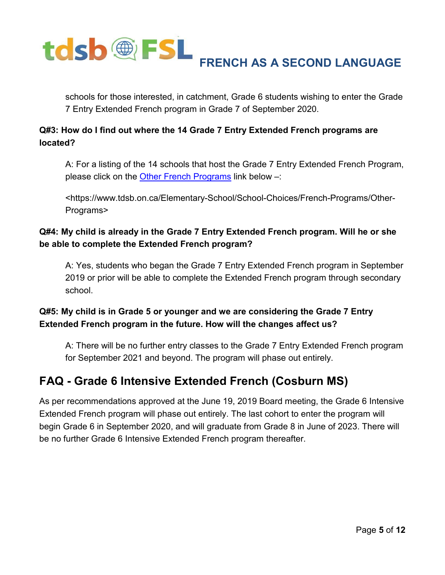

 schools for those interested, in catchment, Grade 6 students wishing to enter the Grade 7 Entry Extended French program in Grade 7 of September 2020.

#### **Q#3: How do I find out where the 14 Grade 7 Entry Extended French programs are located?**

 A: For a listing of the 14 schools that host the Grade 7 Entry Extended French Program, please click on the <u>Other French Programs</u> link below –:

<https://www.tdsb.on.ca/Elementary-School/School-Choices/French-Programs/Other-Programs>

#### **Q#4: My child is already in the Grade 7 Entry Extended French program. Will he or she be able to complete the Extended French program?**

 A: Yes, students who began the Grade 7 Entry Extended French program in September 2019 or prior will be able to complete the Extended French program through secondary school.

### **Q#5: My child is in Grade 5 or younger and we are considering the Grade 7 Entry Extended French program in the future. How will the changes affect us?**

 A: There will be no further entry classes to the Grade 7 Entry Extended French program for September 2021 and beyond. The program will phase out entirely.

## <span id="page-4-0"></span> **FAQ - Grade 6 Intensive Extended French (Cosburn MS)**

 As per recommendations approved at the June 19, 2019 Board meeting, the Grade 6 Intensive Extended French program will phase out entirely. The last cohort to enter the program will begin Grade 6 in September 2020, and will graduate from Grade 8 in June of 2023. There will be no further Grade 6 Intensive Extended French program thereafter.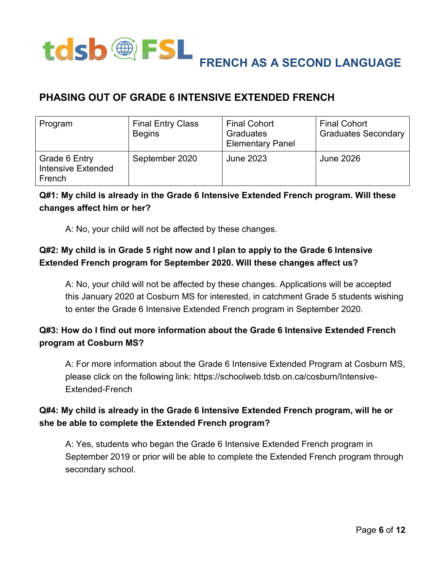

### **PHASING OUT OF GRADE 6 INTENSIVE EXTENDED FRENCH**

| Program                                              | <b>Final Entry Class</b><br><b>Begins</b> | <b>Final Cohort</b><br>Graduates<br><b>Elementary Panel</b> | <b>Final Cohort</b><br><b>Graduates Secondary</b> |
|------------------------------------------------------|-------------------------------------------|-------------------------------------------------------------|---------------------------------------------------|
| Grade 6 Entry<br><b>Intensive Extended</b><br>French | September 2020                            | <b>June 2023</b>                                            | <b>June 2026</b>                                  |

### **Q#1: My child is already in the Grade 6 Intensive Extended French program. Will these changes affect him or her?**

A: No, your child will not be affected by these changes.

### **Q#2: My child is in Grade 5 right now and I plan to apply to the Grade 6 Intensive Extended French program for September 2020. Will these changes affect us?**

 A: No, your child will not be affected by these changes. Applications will be accepted this January 2020 at Cosburn MS for interested, in catchment Grade 5 students wishing to enter the Grade 6 Intensive Extended French program in September 2020.

### **Q#3: How do I find out more information about the Grade 6 Intensive Extended French program at Cosburn MS?**

 A: For more information about the Grade 6 Intensive Extended Program at Cosburn MS, please click on the following link: https://schoolweb.tdsb.on.ca/cosburn/Intensive-Extended-French

### **Q#4: My child is already in the Grade 6 Intensive Extended French program, will he or she be able to complete the Extended French program?**

 A: Yes, students who began the Grade 6 Intensive Extended French program in September 2019 or prior will be able to complete the Extended French program through secondary school.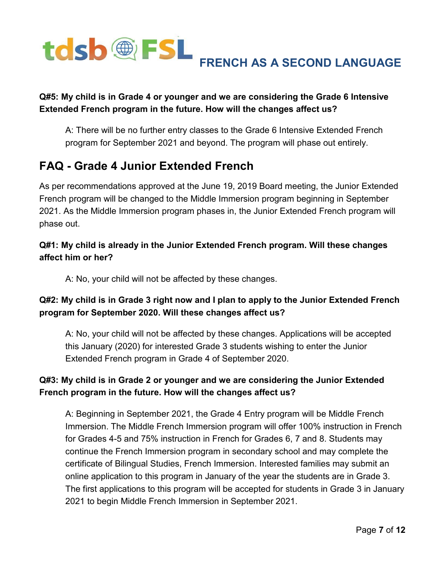

#### **Q#5: My child is in Grade 4 or younger and we are considering the Grade 6 Intensive Extended French program in the future. How will the changes affect us?**

 A: There will be no further entry classes to the Grade 6 Intensive Extended French program for September 2021 and beyond. The program will phase out entirely.

## <span id="page-6-0"></span> **FAQ - Grade 4 Junior Extended French**

 As per recommendations approved at the June 19, 2019 Board meeting, the Junior Extended French program will be changed to the Middle Immersion program beginning in September 2021. As the Middle Immersion program phases in, the Junior Extended French program will phase out.

#### **Q#1: My child is already in the Junior Extended French program. Will these changes affect him or her?**

A: No, your child will not be affected by these changes.

### **Q#2: My child is in Grade 3 right now and I plan to apply to the Junior Extended French program for September 2020. Will these changes affect us?**

 A: No, your child will not be affected by these changes. Applications will be accepted this January (2020) for interested Grade 3 students wishing to enter the Junior Extended French program in Grade 4 of September 2020.

### **Q#3: My child is in Grade 2 or younger and we are considering the Junior Extended French program in the future. How will the changes affect us?**

 A: Beginning in September 2021, the Grade 4 Entry program will be Middle French Immersion. The Middle French Immersion program will offer 100% instruction in French for Grades 4-5 and 75% instruction in French for Grades 6, 7 and 8. Students may continue the French Immersion program in secondary school and may complete the certificate of Bilingual Studies, French Immersion. Interested families may submit an online application to this program in January of the year the students are in Grade 3. The first applications to this program will be accepted for students in Grade 3 in January 2021 to begin Middle French Immersion in September 2021.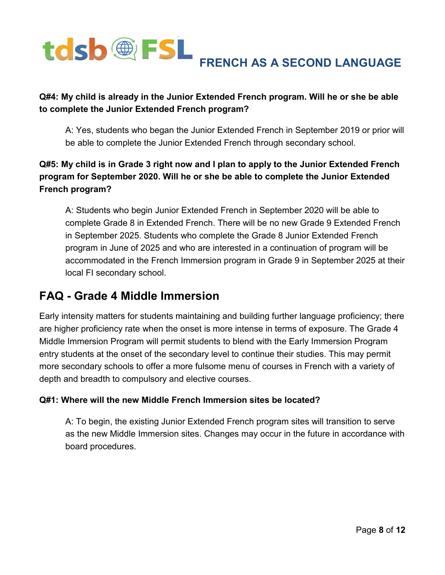

#### **Q#4: My child is already in the Junior Extended French program. Will he or she be able to complete the Junior Extended French program?**

 A: Yes, students who began the Junior Extended French in September 2019 or prior will be able to complete the Junior Extended French through secondary school.

#### **Q#5: My child is in Grade 3 right now and I plan to apply to the Junior Extended French program for September 2020. Will he or she be able to complete the Junior Extended French program?**

 A: Students who begin Junior Extended French in September 2020 will be able to complete Grade 8 in Extended French. There will be no new Grade 9 Extended French in September 2025. Students who complete the Grade 8 Junior Extended French program in June of 2025 and who are interested in a continuation of program will be accommodated in the French Immersion program in Grade 9 in September 2025 at their local FI secondary school.

### <span id="page-7-0"></span> **FAQ - Grade 4 Middle Immersion**

 Early intensity matters for students maintaining and building further language proficiency; there are higher proficiency rate when the onset is more intense in terms of exposure. The Grade 4 Middle Immersion Program will permit students to blend with the Early Immersion Program entry students at the onset of the secondary level to continue their studies. This may permit more secondary schools to offer a more fulsome menu of courses in French with a variety of depth and breadth to compulsory and elective courses.

#### **Q#1: Where will the new Middle French Immersion sites be located?**

 A: To begin, the existing Junior Extended French program sites will transition to serve as the new Middle Immersion sites. Changes may occur in the future in accordance with board procedures.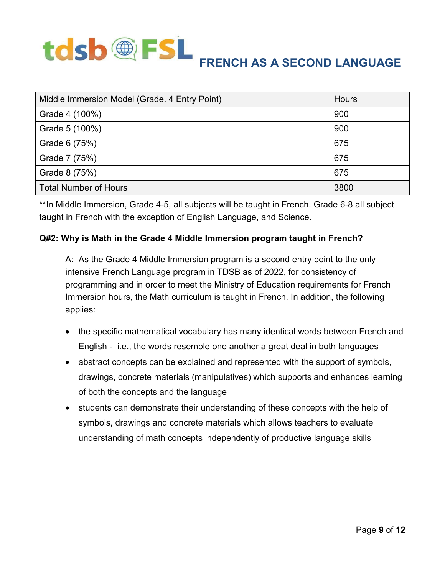# tdsb®FSL  **FRENCH AS A SECOND LANGUAGE**

| Middle Immersion Model (Grade. 4 Entry Point) | Hours |
|-----------------------------------------------|-------|
| Grade 4 (100%)                                | 900   |
| Grade 5 (100%)                                | 900   |
| Grade 6 (75%)                                 | 675   |
| Grade 7 (75%)                                 | 675   |
| Grade 8 (75%)                                 | 675   |
| <b>Total Number of Hours</b>                  | 3800  |

 \*\*In Middle Immersion, Grade 4-5, all subjects will be taught in French. Grade 6-8 all subject taught in French with the exception of English Language, and Science.

#### **Q#2: Why is Math in the Grade 4 Middle Immersion program taught in French?**

 A: As the Grade 4 Middle Immersion program is a second entry point to the only intensive French Language program in TDSB as of 2022, for consistency of programming and in order to meet the Ministry of Education requirements for French Immersion hours, the Math curriculum is taught in French. In addition, the following applies:

- the specific mathematical vocabulary has many identical words between French and English - i.e., the words resemble one another a great deal in both languages
- abstract concepts can be explained and represented with the support of symbols, drawings, concrete materials (manipulatives) which supports and enhances learning of both the concepts and the language
- students can demonstrate their understanding of these concepts with the help of symbols, drawings and concrete materials which allows teachers to evaluate understanding of math concepts independently of productive language skills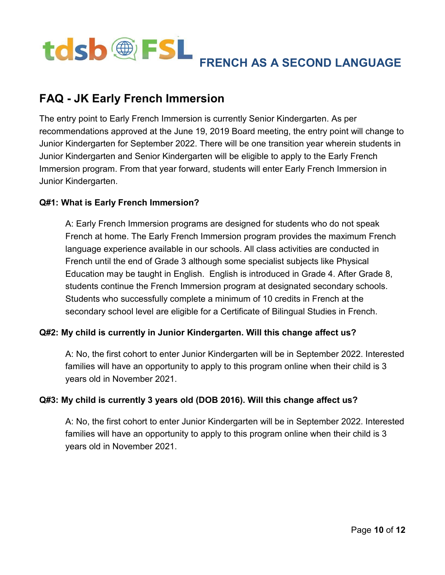

## <span id="page-9-0"></span> **FAQ - JK Early French Immersion**

 The entry point to Early French Immersion is currently Senior Kindergarten. As per recommendations approved at the June 19, 2019 Board meeting, the entry point will change to Junior Kindergarten for September 2022. There will be one transition year wherein students in Junior Kindergarten and Senior Kindergarten will be eligible to apply to the Early French Immersion program. From that year forward, students will enter Early French Immersion in Junior Kindergarten.

#### **Q#1: What is Early French Immersion?**

 A: Early French Immersion programs are designed for students who do not speak French at home. The Early French Immersion program provides the maximum French language experience available in our schools. All class activities are conducted in French until the end of Grade 3 although some specialist subjects like Physical Education may be taught in English. English is introduced in Grade 4. After Grade 8, students continue the French Immersion program at designated secondary schools. Students who successfully complete a minimum of 10 credits in French at the secondary school level are eligible for a Certificate of Bilingual Studies in French.

#### **Q#2: My child is currently in Junior Kindergarten. Will this change affect us?**

 A: No, the first cohort to enter Junior Kindergarten will be in September 2022. Interested families will have an opportunity to apply to this program online when their child is 3 years old in November 2021.

#### **Q#3: My child is currently 3 years old (DOB 2016). Will this change affect us?**

 A: No, the first cohort to enter Junior Kindergarten will be in September 2022. Interested families will have an opportunity to apply to this program online when their child is 3 years old in November 2021.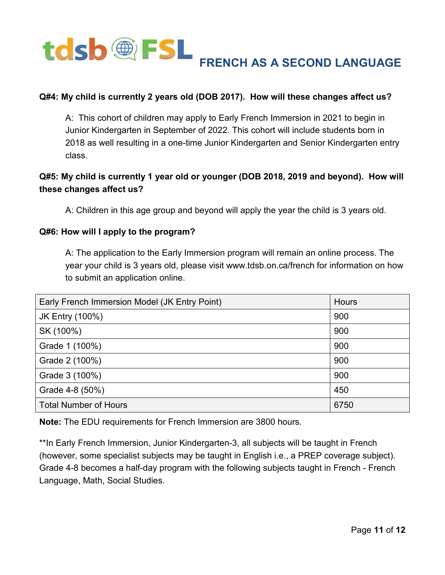

#### **Q#4: My child is currently 2 years old (DOB 2017). How will these changes affect us?**

 A: This cohort of children may apply to Early French Immersion in 2021 to begin in Junior Kindergarten in September of 2022. This cohort will include students born in 2018 as well resulting in a one-time Junior Kindergarten and Senior Kindergarten entry class.

#### **Q#5: My child is currently 1 year old or younger (DOB 2018, 2019 and beyond). How will these changes affect us?**

A: Children in this age group and beyond will apply the year the child is 3 years old.

#### **Q#6: How will I apply to the program?**

 A: The application to the Early Immersion program will remain an online process. The year your child is 3 years old, please visit www.tdsb.on.ca/french for information on how to submit an application online.

| Early French Immersion Model (JK Entry Point) | <b>Hours</b> |
|-----------------------------------------------|--------------|
| <b>JK Entry (100%)</b>                        | 900          |
| SK (100%)                                     | 900          |
| Grade 1 (100%)                                | 900          |
| Grade 2 (100%)                                | 900          |
| Grade 3 (100%)                                | 900          |
| Grade 4-8 (50%)                               | 450          |
| <b>Total Number of Hours</b>                  | 6750         |

**Note:** The EDU requirements for French Immersion are 3800 hours.

 \*\*In Early French Immersion, Junior Kindergarten-3, all subjects will be taught in French (however, some specialist subjects may be taught in English i.e., a PREP coverage subject). Grade 4-8 becomes a half-day program with the following subjects taught in French - French Language, Math, Social Studies.